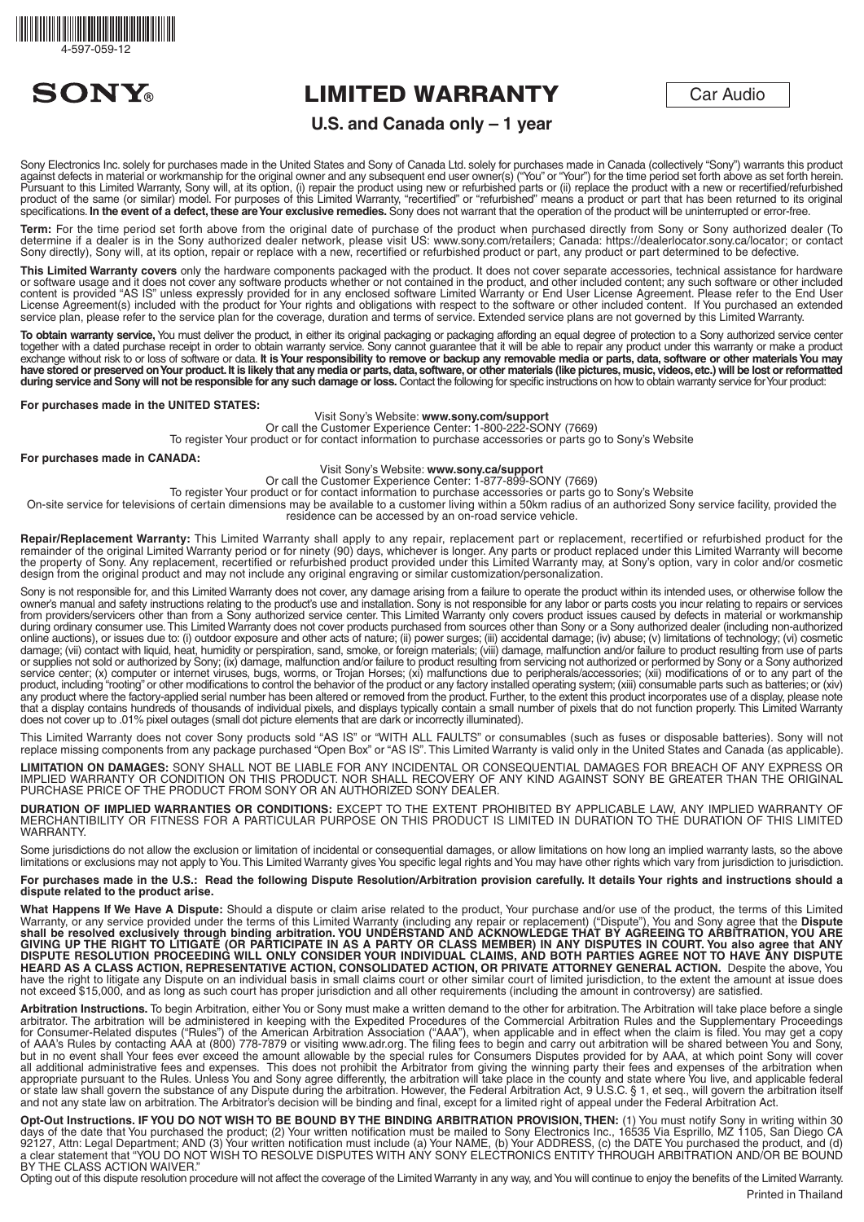



# LIMITED WARRANTY

Car Audio

# **U.S. and Canada only – 1 year**

Sony Electronics Inc. solely for purchases made in the United States and Sony of Canada Ltd. solely for purchases made in Canada (collectively "Sony") warrants this product against defects in material or workmanship for the original owner and any subsequent end user owner(s) ("You" or "You") for the time period set forth above as set forth herein. Pursuant to this Limited Warranty, Sony will, at its option, (i) repair the product using new or refurbished parts or (ii) replace the product with a new or recertified/refurbished product of the same (or similar) model. For purposes of this Limited Warranty, "recertified" or "refurbished" means a product or part that has been returned to its original specifications. In the event of a defect, these are Your exclusive remedies. Sony does not warrant that the operation of the product will be uninterrupted or error-free

**Term:** For the time period set forth above from the original date of purchase of the product when purchased directly from Sony or Sony authorized dealer (To determine if a dealer is in the Sony authorized dealer network, please visit US: www.sony.com/retailers; Canada: https://dealerlocator.sony.ca/locator; or contact Sony directly), Sony will, at its option, repair or replace with a new, recertified or refurbished product or part, any product or part determined to be defective.

**This Limited Warranty covers** only the hardware components packaged with the product. It does not cover separate accessories, technical assistance for hardware or software usage and it does not cover any software products whether or not contained in the product, and other included content; any such software or other included content is provided "AS IS" unless expressly provided for in any enclosed software Limited Warranty or End User License Agreement. Please refer to the End User License Agreement(s) included with the product for Your rights and obligations with respect to the software or other included content. If You purchased an extended service plan, please refer to the service plan for the coverage, duration and terms of service. Extended service plans are not governed by this Limited Warranty.

**To obtain warranty service,** You must deliver the product, in either its original packaging or packaging affording an equal degree of protection to a Sony authorized service center together with a dated purchase receipt in order to obtain warranty service. Sony cannot guarantee that it will be able to repair any product under this warranty or make a product exchange without risk to or loss of software or data. **It is Your responsibility to remove or backup any removable media or parts, data, software or other materials You may**  have stored or preserved on Your product. It is likely that any media or parts, data, software, or other materials (like pictures, music, videos, etc.) will be lost or reformatted during service and Sony will not be responsible for any such damage or loss. Contact the following for specific instructions on how to obtain warranty service for Your product:

# **For purchases made in the UNITED STATES:**

### Visit Sony's Website: **www.sony.com/support**

Or call the Customer Experience Center: 1-800-222-SONY (7669) To register Your product or for contact information to purchase accessories or parts go to Sony's Website

### **For purchases made in CANADA:**

# Visit Sony's Website: **www.sony.ca/support**

Or call the Customer Experience Center: 1-877-899-SONY (7669)

To register Your product or for contact information to purchase accessories or parts go to Sony's Website On-site service for televisions of certain dimensions may be available to a customer living within a 50km radius of an authorized Sony service facility, provided the residence can be accessed by an on-road service vehicle.

**Repair/Replacement Warranty:** This Limited Warranty shall apply to any repair, replacement part or replacement, recertified or refurbished product for the remainder of the original Limited Warranty period or for ninety (90) days, whichever is longer. Any parts or product replaced under this Limited Warranty will become the property of Sony. Any replacement, recertified or refurbished product provided under this Limited Warranty may, at Sony's option, vary in color and/or cosmetic design from the original product and may not include any original engraving or similar customization/personalization.

Sony is not responsible for, and this Limited Warranty does not cover, any damage arising from a failure to operate the product within its intended uses, or otherwise follow the owner's manual and safety instructions relating to the product's use and installation. Sony is not responsible for any labor or parts costs you incur relating to repairs or services from providers/servicers other than from a Sony authorized service center. This Limited Warranty only covers product issues caused by defects in material or workmanship during ordinary consumer use. This Limited Warranty does not cover products purchased from sources other than Sony or a Sony authorized dealer (including non-authorized online auctions), or issues due to: (i) outdoor exposure and other acts of nature; (ii) power surges; (iii) accidental damage; (iv) abuse; (v) limitations of technology; (vi) cosmetic damage; (vii) contact with liquid, heat, humidity or perspiration, sand, smoke, or foreign materials; (viii) damage, malfunction and/or failure to product resulting from use of parts or supplies not sold or authorized by Sony; (ix) damage, malfunction and/or failure to product resulting from servicing not authorized or performed by Sony or a Sony authorized service center; (x) computer or internet viruses, bugs, worms, or Trojan Horses; (xi) malfunctions due to peripherals/accessories; (xii) modifications of or to any part of the product, including "rooting" or other modifications to control the behavior of the product or any factory installed operating system; (xiii) consumable parts such as batteries; or (xiv) any product where the factory-applied serial number has been altered or removed from the product. Further, to the extent this product incorporates use of a display, please note and the product incorporates use of a display that a display contains hundreds of thousands of individual pixels, and displays typically contain a small number of pixels that do not function properly. This Limited Warranty does not cover up to .01% pixel outages (small dot picture elements that are dark or incorrectly illuminated).

This Limited Warranty does not cover Sony products sold "AS IS" or "WITH ALL FAULTS" or consumables (such as fuses or disposable batteries). Sony will not replace missing components from any package purchased "Open Box" or "AS IS". This Limited Warranty is valid only in the United States and Canada (as applicable).

**LIMITATION ON DAMAGES:** SONY SHALL NOT BE LIABLE FOR ANY INCIDENTAL OR CONSEQUENTIAL DAMAGES FOR BREACH OF ANY EXPRESS OR IMPLIED WARRANTY OR CONDITION ON THIS PRODUCT. NOR SHALL RECOVERY OF ANY KIND AGAINST SONY BE GREATER THAN THE ORIGINAL PURCHASE PRICE OF THE PRODUCT FROM SONY OR AN AUTHORIZED SONY DEALER.

**DURATION OF IMPLIED WARRANTIES OR CONDITIONS:** EXCEPT TO THE EXTENT PROHIBITED BY APPLICABLE LAW, ANY IMPLIED WARRANTY OF MERCHANTIBILITY OR FITNESS FOR A PARTICULAR PURPOSE ON THIS PRODUCT IS LIMITED IN DURATION TO THE DURATION OF THIS LIMITED WARRANTY.

Some jurisdictions do not allow the exclusion or limitation of incidental or consequential damages, or allow limitations on how long an implied warranty lasts, so the above limitations or exclusions may not apply to You. This Limited Warranty gives You specific legal rights and You may have other rights which vary from jurisdiction to jurisdiction.

### **For purchases made in the U.S.: Read the following Dispute Resolution/Arbitration provision carefully. It details Your rights and instructions should a dispute related to the product arise.**

**What Happens If We Have A Dispute:** Should a dispute or claim arise related to the product, Your purchase and/or use of the product, the terms of this Limited Warranty, or any service provided under the terms of this Limited Warranty (including any repair or replacement) ("Dispute"), You and Sony agree that the **Dispute shall be resolved exclusively through binding arbitration. YOU UNDERSTAND AND ACKNOWLEDGE THAT BY AGREEING TO ARBITRATION, YOU ARE GIVING UP THE RIGHT TO LITIGATE (OR PARTICIPATE IN AS A PARTY OR CLASS MEMBER) IN ANY DISPUTES IN COURT. You also agree that ANY DISPUTE RESOLUTION PROCEEDING WILL ONLY CONSIDER YOUR INDIVIDUAL CLAIMS, AND BOTH PARTIES AGREE NOT TO HAVE ANY DISPUTE HEARD AS A CLASS ACTION, REPRESENTATIVE ACTION, CONSOLIDATED ACTION, OR PRIVATE ATTORNEY GENERAL ACTION.** Despite the above, You have the right to litigate any Dispute on an individual basis in small claims court or other similar court of limited jurisdiction, to the extent the amount at issue does not exceed \$15,000, and as long as such court has proper jurisdiction and all other requirements (including the amount in controversy) are satisfied.

**Arbitration Instructions.** To begin Arbitration, either You or Sony must make a written demand to the other for arbitration. The Arbitration will take place before a single arbitrator. The arbitration will be administered in keeping with the Expedited Procedures of the Commercial Arbitration Rules and the Supplementary Proceedings<br>for Consumer-Related disputes ("Rules") of the American Arbitr of AAA's Rules by contacting AAA at (800) 778-7879 or visiting www.adr.org. The filing fees to begin and carry out arbitration will be shared between You and Sony, but in no event shall Your fees ever exceed the amount allowable by the special rules for Consumers Disputes provided for by AAA, at which point Sony will cover all additional administrative fees and expenses. This does not prohibit the Arbitrator from giving the winning party their fees and expenses of the arbitration when appropriate pursuant to the Rules. Unless You and Sony agree differently, the arbitration will take place in the county and state where You live, and applicable federal or state law shall govern the substance of any Dispute during the arbitration. However, the Federal Arbitration Act, 9 U.S.C. § 1, et seq., will govern the arbitration itself and not any state law on arbitration. The Arbitrator's decision will be binding and final, except for a limited right of appeal under the Federal Arbitration Act.

Opt-Out Instructions. IF YOU DO NOT WISH TO BE BOUND BY THE BINDING ARBITRATION PROVISION, THEN: (1) You must notify Sony in writing within 30 days of the date that You purchased the product; (2) Your written notification must be mailed to Sony Electronics Inc., 16535 Via Esprillo, MZ 1105, San Diego CA<br>92127, Attn: Legal Department; AND (3) Your written notifica a clear statement that "YOU DO NOT WISH TO RESOLVE DISPUTES WITH ANY SONY ELECTRONICS ENTITY THROUGH ARBITRATION AND/OR BE BOUND **BY THE CLASS ACTION WAIVER.**"

Opting out of this dispute resolution procedure will not affect the coverage of the Limited Warranty in any way, and You will continue to enjoy the benefits of the Limited Warranty. Printed in Thailand